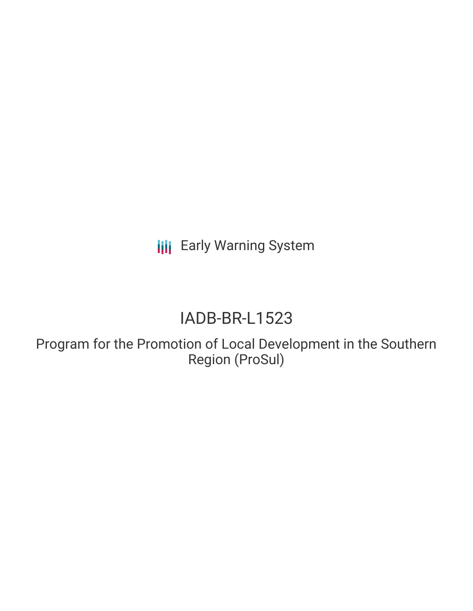**III** Early Warning System

# IADB-BR-L1523

Program for the Promotion of Local Development in the Southern Region (ProSul)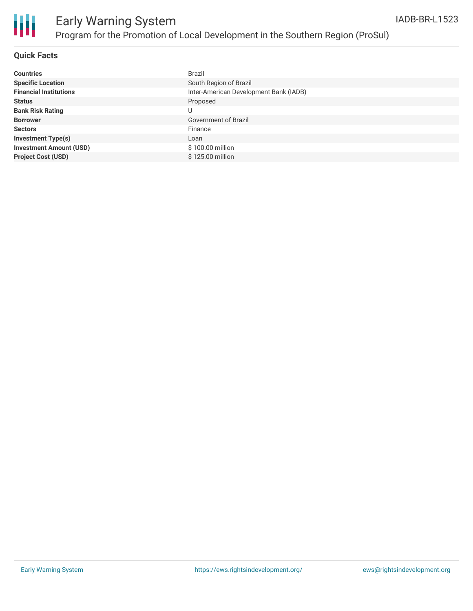

#### **Quick Facts**

| <b>Countries</b>               | Brazil                                 |
|--------------------------------|----------------------------------------|
| <b>Specific Location</b>       | South Region of Brazil                 |
| <b>Financial Institutions</b>  | Inter-American Development Bank (IADB) |
| <b>Status</b>                  | Proposed                               |
| <b>Bank Risk Rating</b>        | U                                      |
| <b>Borrower</b>                | Government of Brazil                   |
| <b>Sectors</b>                 | Finance                                |
| <b>Investment Type(s)</b>      | Loan                                   |
| <b>Investment Amount (USD)</b> | \$100.00 million                       |
| <b>Project Cost (USD)</b>      | \$125,00 million                       |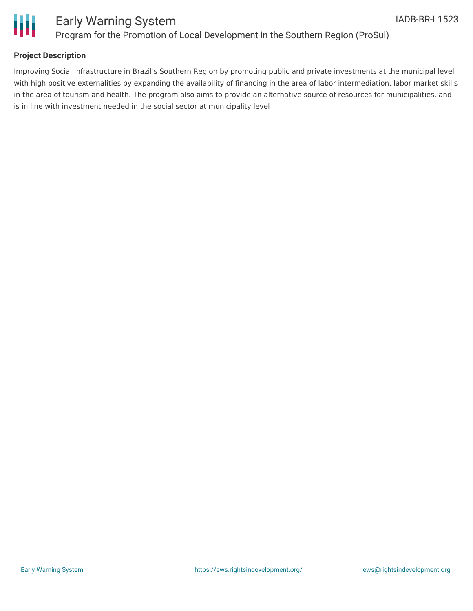

#### **Project Description**

Improving Social Infrastructure in Brazil's Southern Region by promoting public and private investments at the municipal level with high positive externalities by expanding the availability of financing in the area of labor intermediation, labor market skills in the area of tourism and health. The program also aims to provide an alternative source of resources for municipalities, and is in line with investment needed in the social sector at municipality level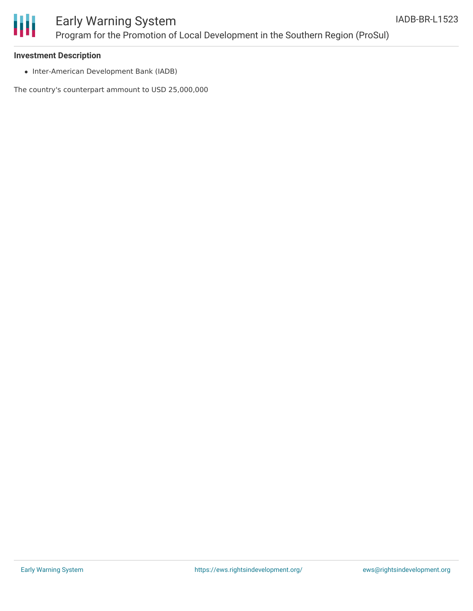

### Early Warning System Program for the Promotion of Local Development in the Southern Region (ProSul)

#### **Investment Description**

• Inter-American Development Bank (IADB)

The country's counterpart ammount to USD 25,000,000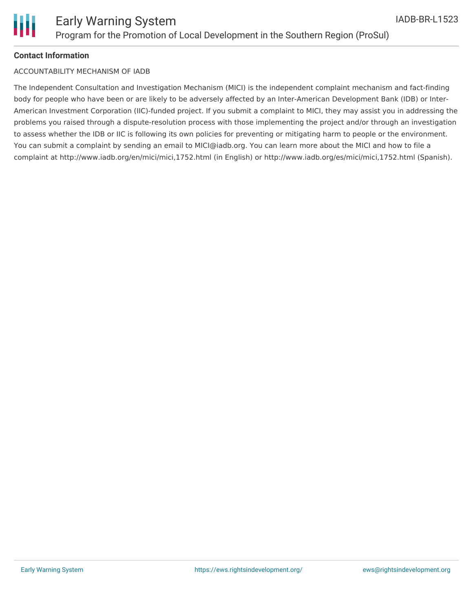

#### **Contact Information**

#### ACCOUNTABILITY MECHANISM OF IADB

The Independent Consultation and Investigation Mechanism (MICI) is the independent complaint mechanism and fact-finding body for people who have been or are likely to be adversely affected by an Inter-American Development Bank (IDB) or Inter-American Investment Corporation (IIC)-funded project. If you submit a complaint to MICI, they may assist you in addressing the problems you raised through a dispute-resolution process with those implementing the project and/or through an investigation to assess whether the IDB or IIC is following its own policies for preventing or mitigating harm to people or the environment. You can submit a complaint by sending an email to MICI@iadb.org. You can learn more about the MICI and how to file a complaint at http://www.iadb.org/en/mici/mici,1752.html (in English) or http://www.iadb.org/es/mici/mici,1752.html (Spanish).